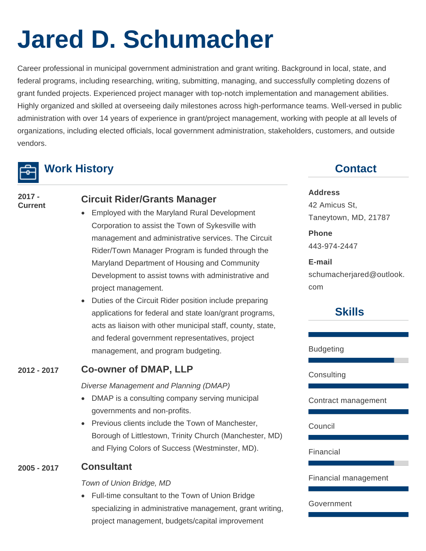# **Jared D. Schumacher**

Career professional in municipal government administration and grant writing. Background in local, state, and federal programs, including researching, writing, submitting, managing, and successfully completing dozens of grant funded projects. Experienced project manager with top-notch implementation and management abilities. Highly organized and skilled at overseeing daily milestones across high-performance teams. Well-versed in public administration with over 14 years of experience in grant/project management, working with people at all levels of organizations, including elected officials, local government administration, stakeholders, customers, and outside vendors.



## **Work History**

**2017 -**

# **Current Circuit Rider/Grants Manager**

- Employed with the Maryland Rural Development Corporation to assist the Town of Sykesville with management and administrative services. The Circuit Rider/Town Manager Program is funded through the Maryland Department of Housing and Community Development to assist towns with administrative and project management.
- Duties of the Circuit Rider position include preparing applications for federal and state loan/grant programs, acts as liaison with other municipal staff, county, state, and federal government representatives, project management, and program budgeting.

## **2012 - 2017 Co-owner of DMAP, LLP**

*Diverse Management and Planning (DMAP)*

- DMAP is a consulting company serving municipal governments and non-profits.
- Previous clients include the Town of Manchester, Borough of Littlestown, Trinity Church (Manchester, MD) and Flying Colors of Success (Westminster, MD).

### **2005 - 2017 Consultant**

*Town of Union Bridge, MD*

• Full-time consultant to the Town of Union Bridge specializing in administrative management, grant writing, project management, budgets/capital improvement

# **Contact**

#### **Address**

42 Amicus St, Taneytown, MD, 21787

#### **Phone**  443-974-2447

**E-mail**  schumacherjared@outlook. com

# **Skills**

Budgeting

**Consulting** 

#### Contract management

Council

Financial

Financial management

#### Government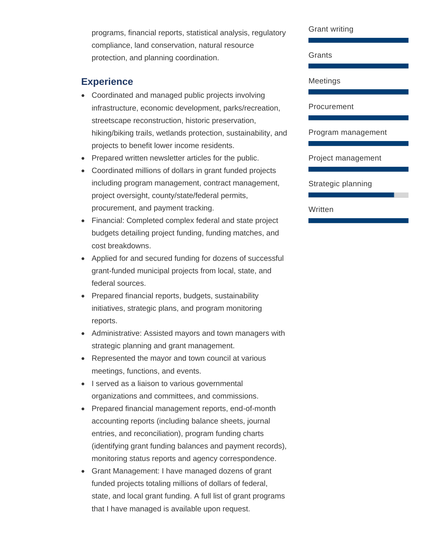programs, financial reports, statistical analysis, regulatory compliance, land conservation, natural resource protection, and planning coordination.

## **Experience**

- Coordinated and managed public projects involving infrastructure, economic development, parks/recreation, streetscape reconstruction, historic preservation, hiking/biking trails, wetlands protection, sustainability, and projects to benefit lower income residents.
- Prepared written newsletter articles for the public.
- Coordinated millions of dollars in grant funded projects including program management, contract management, project oversight, county/state/federal permits, procurement, and payment tracking.
- Financial: Completed complex federal and state project budgets detailing project funding, funding matches, and cost breakdowns.
- Applied for and secured funding for dozens of successful grant-funded municipal projects from local, state, and federal sources.
- Prepared financial reports, budgets, sustainability initiatives, strategic plans, and program monitoring reports.
- Administrative: Assisted mayors and town managers with strategic planning and grant management.
- Represented the mayor and town council at various meetings, functions, and events.
- I served as a liaison to various governmental organizations and committees, and commissions.
- Prepared financial management reports, end-of-month accounting reports (including balance sheets, journal entries, and reconciliation), program funding charts (identifying grant funding balances and payment records), monitoring status reports and agency correspondence.
- Grant Management: I have managed dozens of grant funded projects totaling millions of dollars of federal, state, and local grant funding. A full list of grant programs that I have managed is available upon request.

Grant writing

Grants

Meetings

Procurement

Program management

Project management

Strategic planning

Written